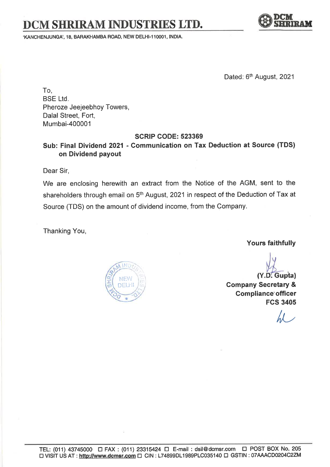# DCM SHRIRAM INDUSTRIES LTD.

.KANCHENJUNGA" 18, BARAKHAMBA ROAD, NEW DELHI.11OOO1, INDIA.



Dated: 6<sup>th</sup> August, 2021

To, BSE Ltd, Pheroze Jeejeebhoy Towers, Dalal Street, Fort, Mumbai-400001

#### SCRIP GODE: 523369

## Sub: Final Dividend 2021 - Communication on Tax Deduction at Source (TDS) on Dividend payout

Dear Sir,

We are enclosing herewith an extract from the Notice of the AGM, sent to the shareholders through email on 5<sup>th</sup> August, 2021 in respect of the Deduction of Tax at Source (TDS) on the amount of dividend income, from the Company.

Thanking You,

Yours faithfully



Y.D. Gupta Gompany Secretary & Compliance'officer

 $\mathcal{U}^-$ 

FCS 3405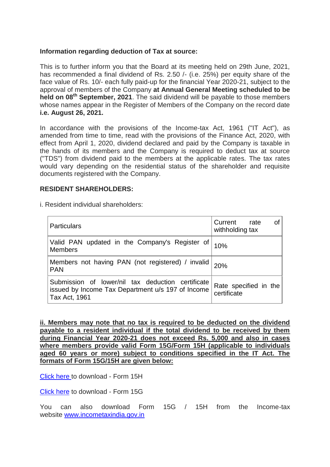#### **Information regarding deduction of Tax at source:**

This is to further inform you that the Board at its meeting held on 29th June, 2021, has recommended a final dividend of Rs. 2.50 /- (i.e. 25%) per equity share of the face value of Rs. 10/- each fully paid-up for the financial Year 2020-21, subject to the approval of members of the Company **at Annual General Meeting scheduled to be held on 08th September, 2021**. The said dividend will be payable to those members whose names appear in the Register of Members of the Company on the record date **i.e. August 26, 2021.**

In accordance with the provisions of the Income-tax Act, 1961 ("IT Act"), as amended from time to time, read with the provisions of the Finance Act, 2020, with effect from April 1, 2020, dividend declared and paid by the Company is taxable in the hands of its members and the Company is required to deduct tax at source ("TDS") from dividend paid to the members at the applicable rates. The tax rates would vary depending on the residential status of the shareholder and requisite documents registered with the Company.

#### **RESIDENT SHAREHOLDERS:**

i. Resident individual shareholders:

| <b>Particulars</b>                                                                                                      | οf<br>Current<br>rate<br>withholding tax |
|-------------------------------------------------------------------------------------------------------------------------|------------------------------------------|
| Valid PAN updated in the Company's Register of $ $ 10%<br><b>Members</b>                                                |                                          |
| Members not having PAN (not registered) / invalid   20%<br><b>PAN</b>                                                   |                                          |
| Submission of lower/nil tax deduction certificate<br>issued by Income Tax Department u/s 197 of Income<br>Tax Act, 1961 | Rate specified in the<br>certificate     |

**ii. Members may note that no tax is required to be deducted on the dividend payable to a resident individual if the total dividend to be received by them during Financial Year 2020-21 does not exceed Rs. 5,000 and also in cases where members provide valid Form 15G/Form 15H (applicable to individuals aged 60 years or more) subject to conditions specified in the IT Act. The formats of Form 15G/15H are given below:**

[Click here](https://crimg.kfintech.com/bmails/files/12333_dcm_Form_15H.pdf) to download - Form 15H

[Click here](https://crimg.kfintech.com/bmails/files/12333_DCM_Form_15G.pdf) to download - Form 15G

You can also download Form 15G / 15H from the Income-tax website [www.incometaxindia.gov.in](https://www.incometaxindia.gov.in/)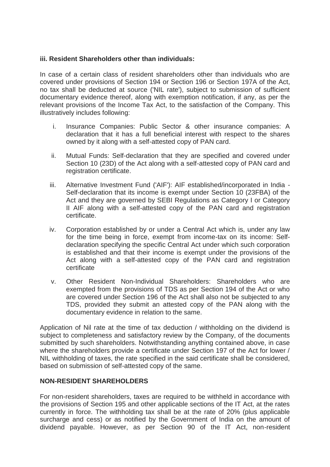### **iii. Resident Shareholders other than individuals:**

In case of a certain class of resident shareholders other than individuals who are covered under provisions of Section 194 or Section 196 or Section 197A of the Act, no tax shall be deducted at source ('NIL rate'), subject to submission of sufficient documentary evidence thereof, along with exemption notification, if any, as per the relevant provisions of the Income Tax Act, to the satisfaction of the Company. This illustratively includes following:

- i. Insurance Companies: Public Sector & other insurance companies: A declaration that it has a full beneficial interest with respect to the shares owned by it along with a self-attested copy of PAN card.
- ii. Mutual Funds: Self-declaration that they are specified and covered under Section 10 (23D) of the Act along with a self-attested copy of PAN card and registration certificate.
- iii. Alternative Investment Fund ('AIF'): AIF established/incorporated in India Self-declaration that its income is exempt under Section 10 (23FBA) of the Act and they are governed by SEBI Regulations as Category I or Category II AIF along with a self-attested copy of the PAN card and registration certificate.
- iv. Corporation established by or under a Central Act which is, under any law for the time being in force, exempt from income-tax on its income: Selfdeclaration specifying the specific Central Act under which such corporation is established and that their income is exempt under the provisions of the Act along with a self-attested copy of the PAN card and registration certificate
- v. Other Resident Non-Individual Shareholders: Shareholders who are exempted from the provisions of TDS as per Section 194 of the Act or who are covered under Section 196 of the Act shall also not be subjected to any TDS, provided they submit an attested copy of the PAN along with the documentary evidence in relation to the same.

Application of Nil rate at the time of tax deduction / withholding on the dividend is subject to completeness and satisfactory review by the Company, of the documents submitted by such shareholders. Notwithstanding anything contained above, in case where the shareholders provide a certificate under Section 197 of the Act for lower / NIL withholding of taxes, the rate specified in the said certificate shall be considered, based on submission of self-attested copy of the same.

## **NON-RESIDENT SHAREHOLDERS**

For non-resident shareholders, taxes are required to be withheld in accordance with the provisions of Section 195 and other applicable sections of the IT Act, at the rates currently in force. The withholding tax shall be at the rate of 20% (plus applicable surcharge and cess) or as notified by the Government of India on the amount of dividend payable. However, as per Section 90 of the IT Act, non-resident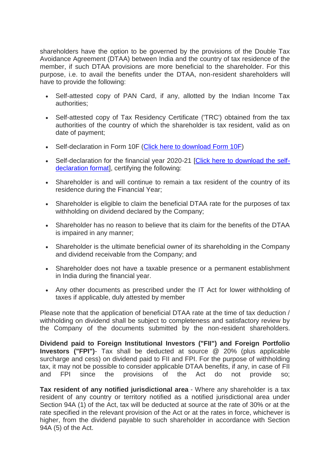shareholders have the option to be governed by the provisions of the Double Tax Avoidance Agreement (DTAA) between India and the country of tax residence of the member, if such DTAA provisions are more beneficial to the shareholder. For this purpose, i.e. to avail the benefits under the DTAA, non-resident shareholders will have to provide the following:

- Self-attested copy of PAN Card, if any, allotted by the Indian Income Tax authorities;
- Self-attested copy of Tax Residency Certificate ('TRC') obtained from the tax authorities of the country of which the shareholder is tax resident, valid as on date of payment;
- Self-declaration in Form 10F [\(Click here to download Form 10F\)](https://crimg.kfintech.com/bmails/files/12333_DCM_Form_10F.pdf)
- Self-declaration for the financial year 2020-21 [\[Click here to download the self](https://crimg.kfintech.com/bmails/files/12333_Beneficial_ownership_declaration.pdf)[declaration format\]](https://crimg.kfintech.com/bmails/files/12333_Beneficial_ownership_declaration.pdf), certifying the following:
- Shareholder is and will continue to remain a tax resident of the country of its residence during the Financial Year;
- Shareholder is eligible to claim the beneficial DTAA rate for the purposes of tax withholding on dividend declared by the Company;
- Shareholder has no reason to believe that its claim for the benefits of the DTAA is impaired in any manner;
- Shareholder is the ultimate beneficial owner of its shareholding in the Company and dividend receivable from the Company; and
- Shareholder does not have a taxable presence or a permanent establishment in India during the financial year.
- Any other documents as prescribed under the IT Act for lower withholding of taxes if applicable, duly attested by member

Please note that the application of beneficial DTAA rate at the time of tax deduction / withholding on dividend shall be subject to completeness and satisfactory review by the Company of the documents submitted by the non-resident shareholders.

**Dividend paid to Foreign Institutional Investors ("FII") and Foreign Portfolio Investors ("FPI")**- Tax shall be deducted at source @ 20% (plus applicable surcharge and cess) on dividend paid to FII and FPI. For the purpose of withholding tax, it may not be possible to consider applicable DTAA benefits, if any, in case of FII and FPI since the provisions of the Act do not provide so;

**Tax resident of any notified jurisdictional area** - Where any shareholder is a tax resident of any country or territory notified as a notified jurisdictional area under Section 94A (1) of the Act, tax will be deducted at source at the rate of 30% or at the rate specified in the relevant provision of the Act or at the rates in force, whichever is higher, from the dividend payable to such shareholder in accordance with Section 94A (5) of the Act.